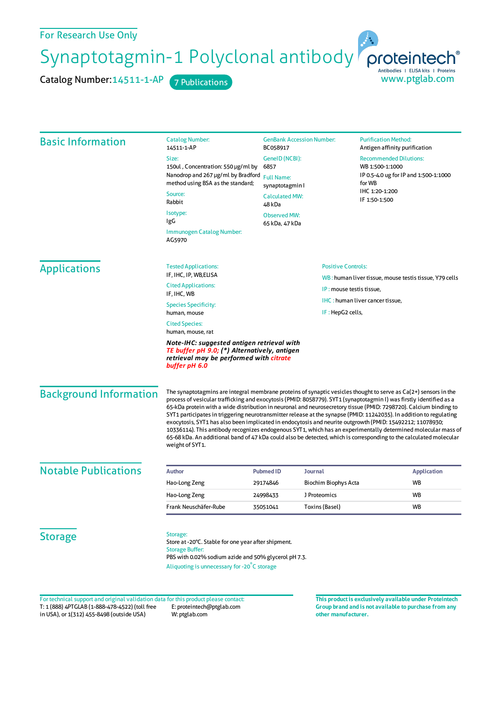Synaptotagmin-1 Polyclonal antibody proteintech<sup>®</sup>

Catalog Number: 14511-1-AP 7 Publications

| <b>Basic Information</b>      | <b>Catalog Number:</b><br>14511-1-AP                                                                                                                                                                                                                                                                                                                                                                                                                                                                                                                                                                                                                                                                                                                                                                                                                         | <b>GenBank Accession Number:</b><br>BC058917                                                      |                       | <b>Purification Method:</b><br>Antigen affinity purification                                                                           |
|-------------------------------|--------------------------------------------------------------------------------------------------------------------------------------------------------------------------------------------------------------------------------------------------------------------------------------------------------------------------------------------------------------------------------------------------------------------------------------------------------------------------------------------------------------------------------------------------------------------------------------------------------------------------------------------------------------------------------------------------------------------------------------------------------------------------------------------------------------------------------------------------------------|---------------------------------------------------------------------------------------------------|-----------------------|----------------------------------------------------------------------------------------------------------------------------------------|
|                               | Size:<br>150ul, Concentration: 550 µg/ml by<br>Nanodrop and 267 µg/ml by Bradford<br>method using BSA as the standard;                                                                                                                                                                                                                                                                                                                                                                                                                                                                                                                                                                                                                                                                                                                                       | GenelD (NCBI):<br>6857<br><b>Full Name:</b><br>synaptotagmin l<br><b>Calculated MW:</b><br>48 kDa |                       | <b>Recommended Dilutions:</b><br>WB 1:500-1:1000<br>IP 0.5-4.0 ug for IP and 1:500-1:1000<br>for WB<br>IHC 1:20-1:200<br>IF 1:50-1:500 |
|                               | Source:<br>Rabbit                                                                                                                                                                                                                                                                                                                                                                                                                                                                                                                                                                                                                                                                                                                                                                                                                                            |                                                                                                   |                       |                                                                                                                                        |
|                               | Isotype:<br>IgG<br>Immunogen Catalog Number:<br>AG5970                                                                                                                                                                                                                                                                                                                                                                                                                                                                                                                                                                                                                                                                                                                                                                                                       | <b>Observed MW:</b><br>65 kDa, 47 kDa                                                             |                       |                                                                                                                                        |
| <b>Applications</b>           | <b>Tested Applications:</b><br>IF, IHC, IP, WB, ELISA                                                                                                                                                                                                                                                                                                                                                                                                                                                                                                                                                                                                                                                                                                                                                                                                        | <b>Positive Controls:</b>                                                                         |                       |                                                                                                                                        |
|                               | <b>Cited Applications:</b>                                                                                                                                                                                                                                                                                                                                                                                                                                                                                                                                                                                                                                                                                                                                                                                                                                   | IP: mouse testis tissue.                                                                          |                       | WB: human liver tissue, mouse testis tissue, Y79 cells                                                                                 |
|                               | IF, IHC, WB                                                                                                                                                                                                                                                                                                                                                                                                                                                                                                                                                                                                                                                                                                                                                                                                                                                  |                                                                                                   |                       | IHC: human liver cancer tissue,                                                                                                        |
|                               | <b>Species Specificity:</b><br>human, mouse                                                                                                                                                                                                                                                                                                                                                                                                                                                                                                                                                                                                                                                                                                                                                                                                                  | IF: HepG2 cells,                                                                                  |                       |                                                                                                                                        |
|                               | <b>Cited Species:</b><br>human, mouse, rat                                                                                                                                                                                                                                                                                                                                                                                                                                                                                                                                                                                                                                                                                                                                                                                                                   |                                                                                                   |                       |                                                                                                                                        |
|                               | Note-IHC: suggested antigen retrieval with<br>TE buffer pH 9.0; (*) Alternatively, antigen<br>retrieval may be performed with citrate<br>buffer pH 6.0                                                                                                                                                                                                                                                                                                                                                                                                                                                                                                                                                                                                                                                                                                       |                                                                                                   |                       |                                                                                                                                        |
| <b>Background Information</b> | The synaptotagmins are integral membrane proteins of synaptic vesicles thought to serve as $Ca(2+)$ sensors in the<br>process of vesicular trafficking and exocytosis (PMID: 8058779). SYT1 (synaptotagmin I) was firstly identified as a<br>65-kDa protein with a wide distribution in neuronal and neurosecretory tissue (PMID: 7298720). Calcium binding to<br>SYT1 participates in triggering neurotransmitter release at the synapse (PMID: 11242035). In addition to regulating<br>exocytosis, SYT1 has also been implicated in endocytosis and neurite outgrowth (PMID: 15492212; 11078930;<br>10336114). This antibody recognizes endogenous SYT1, which has an experimentally determined molecular mass of<br>65-68 kDa. An additional band of 47 kDa could also be detected, which is corresponding to the calculated molecular<br>weight of SYT1. |                                                                                                   |                       |                                                                                                                                        |
| <b>Notable Publications</b>   | <b>Author</b>                                                                                                                                                                                                                                                                                                                                                                                                                                                                                                                                                                                                                                                                                                                                                                                                                                                | <b>Pubmed ID</b>                                                                                  | Journal               | <b>Application</b>                                                                                                                     |
|                               | Hao-Long Zeng                                                                                                                                                                                                                                                                                                                                                                                                                                                                                                                                                                                                                                                                                                                                                                                                                                                | 29174846                                                                                          | Biochim Biophys Acta  | WB                                                                                                                                     |
|                               | Hao-Long Zeng                                                                                                                                                                                                                                                                                                                                                                                                                                                                                                                                                                                                                                                                                                                                                                                                                                                | 24998433                                                                                          | J Proteomics          | <b>WB</b>                                                                                                                              |
|                               | Frank Neuschäfer-Rube                                                                                                                                                                                                                                                                                                                                                                                                                                                                                                                                                                                                                                                                                                                                                                                                                                        | 35051041                                                                                          | <b>Toxins (Basel)</b> | WB                                                                                                                                     |
| <b>Storage</b>                | Storage:<br>Store at -20°C. Stable for one year after shipment.<br><b>Storage Buffer:</b><br>PBS with 0.02% sodium azide and 50% glycerol pH 7.3.<br>Aliquoting is unnecessary for -20°C storage                                                                                                                                                                                                                                                                                                                                                                                                                                                                                                                                                                                                                                                             |                                                                                                   |                       |                                                                                                                                        |

T: 1 (888) 4PTGLAB (1-888-478-4522) (toll free in USA), or 1(312) 455-8498 (outside USA) E: proteintech@ptglab.com W: ptglab.com Fortechnical support and original validation data forthis product please contact: **This productis exclusively available under Proteintech**

**Group brand and is not available to purchase from any other manufacturer.**

www.ptglab.com